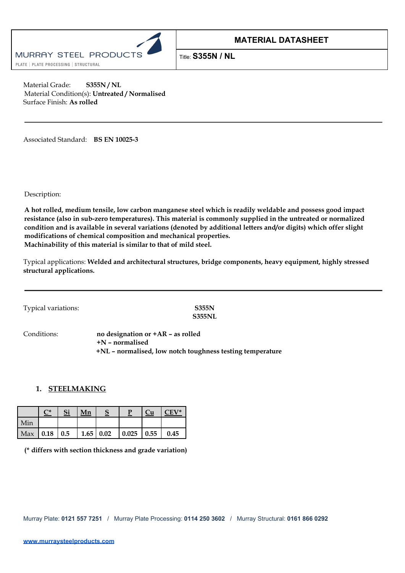

Title: **S355N / NL**

Material Grade: **S355N / NL** Material Condition(s): **Untreated / Normalised** Surface Finish: **As rolled**

Associated Standard: **BS EN 10025-3**

Description:

A hot rolled, medium tensile, low carbon manganese steel which is readily weldable and possess good impact **resistance (also in sub-zero temperatures). This material is commonly supplied in the untreated or normalized** condition and is available in several variations (denoted by additional letters and/or digits) which offer slight **modifications of chemical composition and mechanical properties. Machinability of this material is similar to that of mild steel.**

Typical applications: **Welded and architectural structures, bridge components, heavy equipment, highly stressed structural applications.**

Typical variations: **S355N**

**S355NL**

Conditions: **no designation or +AR – as rolled +N – normalised +NL – normalised, low notch toughness testing temperature**

## **1. STEELMAKING**

|     | $\mathbb{C}^*$ | Si | Mn |                                                      | C <sub>u</sub> | ${\rm \bf CEV^*}$ |
|-----|----------------|----|----|------------------------------------------------------|----------------|-------------------|
| Min |                |    |    |                                                      |                |                   |
|     |                |    |    | Max   0.18   0.5   1.65   0.02   0.025   0.55   0.45 |                |                   |

**(\* differs with section thickness and grade variation)**

Murray Plate: **0121 557 7251** / Murray Plate Processing: **0114 250 3602** / Murray Structural: **0161 866 0292**